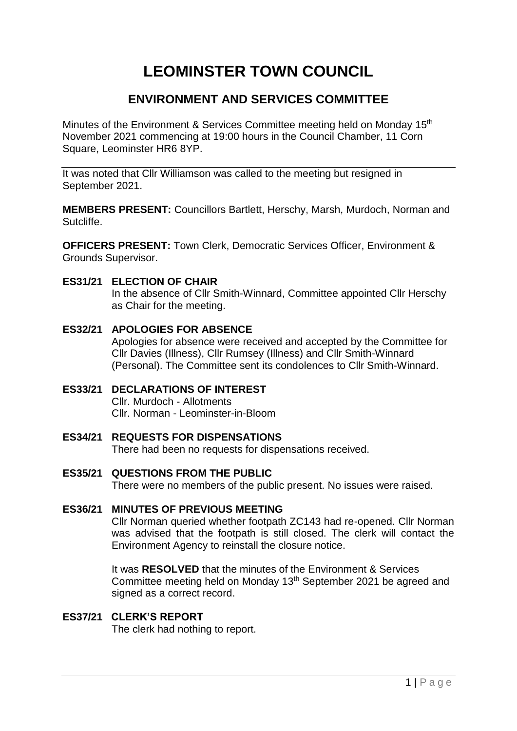# **LEOMINSTER TOWN COUNCIL**

### **ENVIRONMENT AND SERVICES COMMITTEE**

Minutes of the Environment & Services Committee meeting held on Monday 15<sup>th</sup> November 2021 commencing at 19:00 hours in the Council Chamber, 11 Corn Square, Leominster HR6 8YP.

It was noted that Cllr Williamson was called to the meeting but resigned in September 2021.

**MEMBERS PRESENT:** Councillors Bartlett, Herschy, Marsh, Murdoch, Norman and Sutcliffe.

**OFFICERS PRESENT:** Town Clerk, Democratic Services Officer, Environment & Grounds Supervisor.

#### **ES31/21 ELECTION OF CHAIR**

In the absence of Cllr Smith-Winnard, Committee appointed Cllr Herschy as Chair for the meeting.

- **ES32/21 APOLOGIES FOR ABSENCE** Apologies for absence were received and accepted by the Committee for Cllr Davies (Illness), Cllr Rumsey (Illness) and Cllr Smith-Winnard (Personal). The Committee sent its condolences to Cllr Smith-Winnard.
- **ES33/21 DECLARATIONS OF INTEREST** Cllr. Murdoch - Allotments Cllr. Norman - Leominster-in-Bloom
- **ES34/21 REQUESTS FOR DISPENSATIONS** There had been no requests for dispensations received.
- **ES35/21 QUESTIONS FROM THE PUBLIC** There were no members of the public present. No issues were raised.
- **ES36/21 MINUTES OF PREVIOUS MEETING** Cllr Norman queried whether footpath ZC143 had re-opened. Cllr Norman was advised that the footpath is still closed. The clerk will contact the Environment Agency to reinstall the closure notice.

It was **RESOLVED** that the minutes of the Environment & Services Committee meeting held on Monday 13<sup>th</sup> September 2021 be agreed and signed as a correct record.

## **ES37/21 CLERK'S REPORT**

The clerk had nothing to report.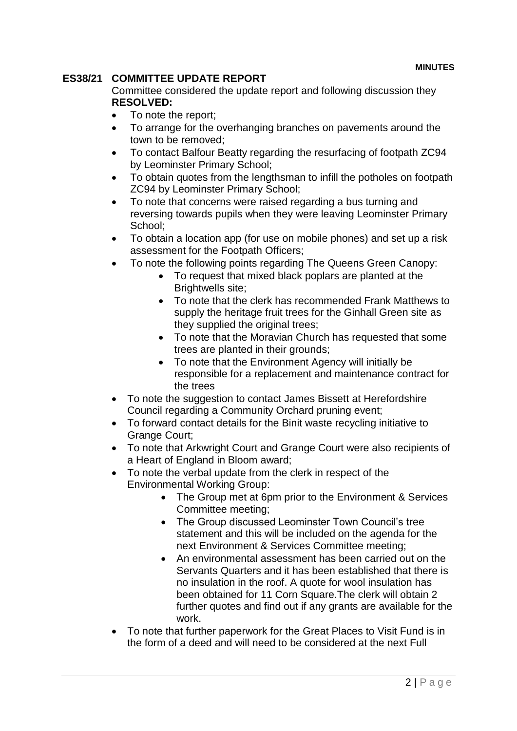#### **ES38/21 COMMITTEE UPDATE REPORT**

Committee considered the update report and following discussion they **RESOLVED:**

- To note the report;
- To arrange for the overhanging branches on pavements around the town to be removed;
- To contact Balfour Beatty regarding the resurfacing of footpath ZC94 by Leominster Primary School;
- To obtain quotes from the lengthsman to infill the potholes on footpath ZC94 by Leominster Primary School;
- To note that concerns were raised regarding a bus turning and reversing towards pupils when they were leaving Leominster Primary School;
- To obtain a location app (for use on mobile phones) and set up a risk assessment for the Footpath Officers;
- To note the following points regarding The Queens Green Canopy:
	- To request that mixed black poplars are planted at the Brightwells site;
	- To note that the clerk has recommended Frank Matthews to supply the heritage fruit trees for the Ginhall Green site as they supplied the original trees;
	- To note that the Moravian Church has requested that some trees are planted in their grounds;
	- To note that the Environment Agency will initially be responsible for a replacement and maintenance contract for the trees
- To note the suggestion to contact James Bissett at Herefordshire Council regarding a Community Orchard pruning event;
- To forward contact details for the Binit waste recycling initiative to Grange Court;
- To note that Arkwright Court and Grange Court were also recipients of a Heart of England in Bloom award;
- To note the verbal update from the clerk in respect of the Environmental Working Group:
	- The Group met at 6pm prior to the Environment & Services Committee meeting;
	- The Group discussed Leominster Town Council's tree statement and this will be included on the agenda for the next Environment & Services Committee meeting;
	- An environmental assessment has been carried out on the Servants Quarters and it has been established that there is no insulation in the roof. A quote for wool insulation has been obtained for 11 Corn Square.The clerk will obtain 2 further quotes and find out if any grants are available for the work.
- To note that further paperwork for the Great Places to Visit Fund is in the form of a deed and will need to be considered at the next Full